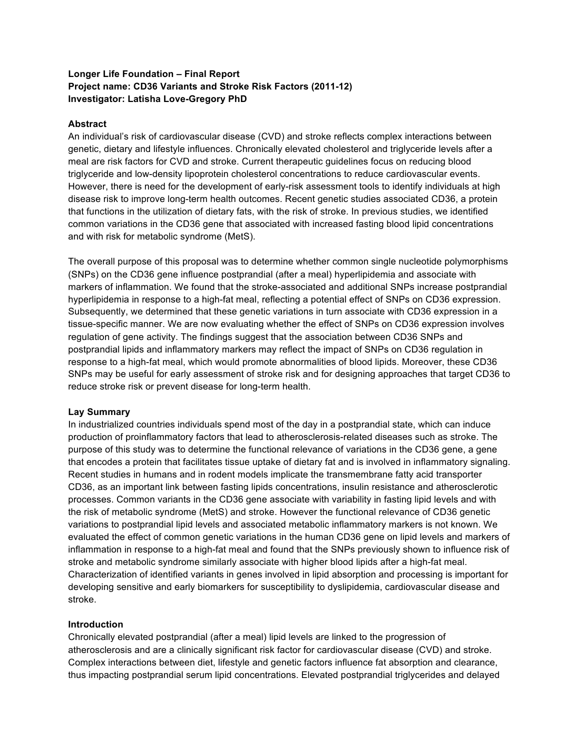# **Longer Life Foundation – Final Report Project name: CD36 Variants and Stroke Risk Factors (2011-12) Investigator: Latisha Love-Gregory PhD**

### **Abstract**

An individual's risk of cardiovascular disease (CVD) and stroke reflects complex interactions between genetic, dietary and lifestyle influences. Chronically elevated cholesterol and triglyceride levels after a meal are risk factors for CVD and stroke. Current therapeutic guidelines focus on reducing blood triglyceride and low-density lipoprotein cholesterol concentrations to reduce cardiovascular events. However, there is need for the development of early-risk assessment tools to identify individuals at high disease risk to improve long-term health outcomes. Recent genetic studies associated CD36, a protein that functions in the utilization of dietary fats, with the risk of stroke. In previous studies, we identified common variations in the CD36 gene that associated with increased fasting blood lipid concentrations and with risk for metabolic syndrome (MetS).

The overall purpose of this proposal was to determine whether common single nucleotide polymorphisms (SNPs) on the CD36 gene influence postprandial (after a meal) hyperlipidemia and associate with markers of inflammation. We found that the stroke-associated and additional SNPs increase postprandial hyperlipidemia in response to a high-fat meal, reflecting a potential effect of SNPs on CD36 expression. Subsequently, we determined that these genetic variations in turn associate with CD36 expression in a tissue-specific manner. We are now evaluating whether the effect of SNPs on CD36 expression involves regulation of gene activity. The findings suggest that the association between CD36 SNPs and postprandial lipids and inflammatory markers may reflect the impact of SNPs on CD36 regulation in response to a high-fat meal, which would promote abnormalities of blood lipids. Moreover, these CD36 SNPs may be useful for early assessment of stroke risk and for designing approaches that target CD36 to reduce stroke risk or prevent disease for long-term health.

### **Lay Summary**

In industrialized countries individuals spend most of the day in a postprandial state, which can induce production of proinflammatory factors that lead to atherosclerosis-related diseases such as stroke. The purpose of this study was to determine the functional relevance of variations in the CD36 gene, a gene that encodes a protein that facilitates tissue uptake of dietary fat and is involved in inflammatory signaling. Recent studies in humans and in rodent models implicate the transmembrane fatty acid transporter CD36, as an important link between fasting lipids concentrations, insulin resistance and atherosclerotic processes. Common variants in the CD36 gene associate with variability in fasting lipid levels and with the risk of metabolic syndrome (MetS) and stroke. However the functional relevance of CD36 genetic variations to postprandial lipid levels and associated metabolic inflammatory markers is not known. We evaluated the effect of common genetic variations in the human CD36 gene on lipid levels and markers of inflammation in response to a high-fat meal and found that the SNPs previously shown to influence risk of stroke and metabolic syndrome similarly associate with higher blood lipids after a high-fat meal. Characterization of identified variants in genes involved in lipid absorption and processing is important for developing sensitive and early biomarkers for susceptibility to dyslipidemia, cardiovascular disease and stroke.

# **Introduction**

Chronically elevated postprandial (after a meal) lipid levels are linked to the progression of atherosclerosis and are a clinically significant risk factor for cardiovascular disease (CVD) and stroke. Complex interactions between diet, lifestyle and genetic factors influence fat absorption and clearance, thus impacting postprandial serum lipid concentrations. Elevated postprandial triglycerides and delayed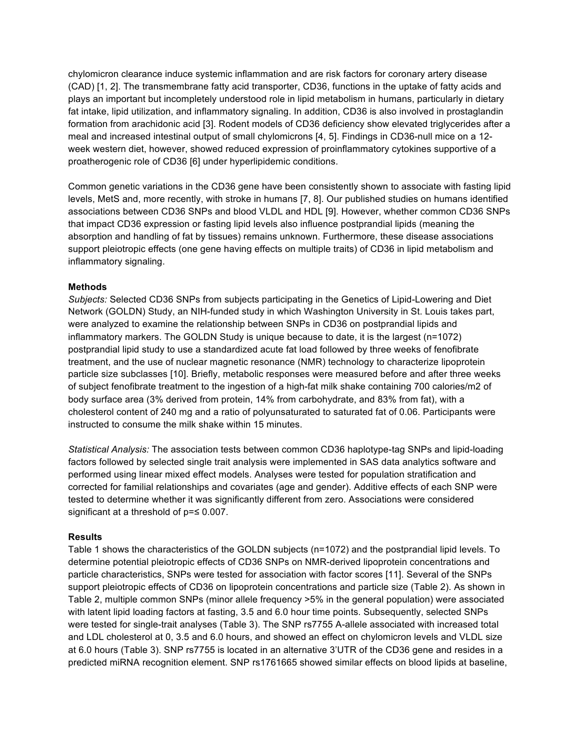chylomicron clearance induce systemic inflammation and are risk factors for coronary artery disease (CAD) [1, 2]. The transmembrane fatty acid transporter, CD36, functions in the uptake of fatty acids and plays an important but incompletely understood role in lipid metabolism in humans, particularly in dietary fat intake, lipid utilization, and inflammatory signaling. In addition, CD36 is also involved in prostaglandin formation from arachidonic acid [3]. Rodent models of CD36 deficiency show elevated triglycerides after a meal and increased intestinal output of small chylomicrons [4, 5]. Findings in CD36-null mice on a 12 week western diet, however, showed reduced expression of proinflammatory cytokines supportive of a proatherogenic role of CD36 [6] under hyperlipidemic conditions.

Common genetic variations in the CD36 gene have been consistently shown to associate with fasting lipid levels, MetS and, more recently, with stroke in humans [7, 8]. Our published studies on humans identified associations between CD36 SNPs and blood VLDL and HDL [9]. However, whether common CD36 SNPs that impact CD36 expression or fasting lipid levels also influence postprandial lipids (meaning the absorption and handling of fat by tissues) remains unknown. Furthermore, these disease associations support pleiotropic effects (one gene having effects on multiple traits) of CD36 in lipid metabolism and inflammatory signaling.

### **Methods**

*Subjects:* Selected CD36 SNPs from subjects participating in the Genetics of Lipid-Lowering and Diet Network (GOLDN) Study, an NIH-funded study in which Washington University in St. Louis takes part, were analyzed to examine the relationship between SNPs in CD36 on postprandial lipids and inflammatory markers. The GOLDN Study is unique because to date, it is the largest (n=1072) postprandial lipid study to use a standardized acute fat load followed by three weeks of fenofibrate treatment, and the use of nuclear magnetic resonance (NMR) technology to characterize lipoprotein particle size subclasses [10]. Briefly, metabolic responses were measured before and after three weeks of subject fenofibrate treatment to the ingestion of a high-fat milk shake containing 700 calories/m2 of body surface area (3% derived from protein, 14% from carbohydrate, and 83% from fat), with a cholesterol content of 240 mg and a ratio of polyunsaturated to saturated fat of 0.06. Participants were instructed to consume the milk shake within 15 minutes.

*Statistical Analysis:* The association tests between common CD36 haplotype-tag SNPs and lipid-loading factors followed by selected single trait analysis were implemented in SAS data analytics software and performed using linear mixed effect models. Analyses were tested for population stratification and corrected for familial relationships and covariates (age and gender). Additive effects of each SNP were tested to determine whether it was significantly different from zero. Associations were considered significant at a threshold of  $p = ≤ 0.007$ .

### **Results**

Table 1 shows the characteristics of the GOLDN subjects (n=1072) and the postprandial lipid levels. To determine potential pleiotropic effects of CD36 SNPs on NMR-derived lipoprotein concentrations and particle characteristics, SNPs were tested for association with factor scores [11]. Several of the SNPs support pleiotropic effects of CD36 on lipoprotein concentrations and particle size (Table 2). As shown in Table 2, multiple common SNPs (minor allele frequency >5% in the general population) were associated with latent lipid loading factors at fasting, 3.5 and 6.0 hour time points. Subsequently, selected SNPs were tested for single-trait analyses (Table 3). The SNP rs7755 A-allele associated with increased total and LDL cholesterol at 0, 3.5 and 6.0 hours, and showed an effect on chylomicron levels and VLDL size at 6.0 hours (Table 3). SNP rs7755 is located in an alternative 3'UTR of the CD36 gene and resides in a predicted miRNA recognition element. SNP rs1761665 showed similar effects on blood lipids at baseline,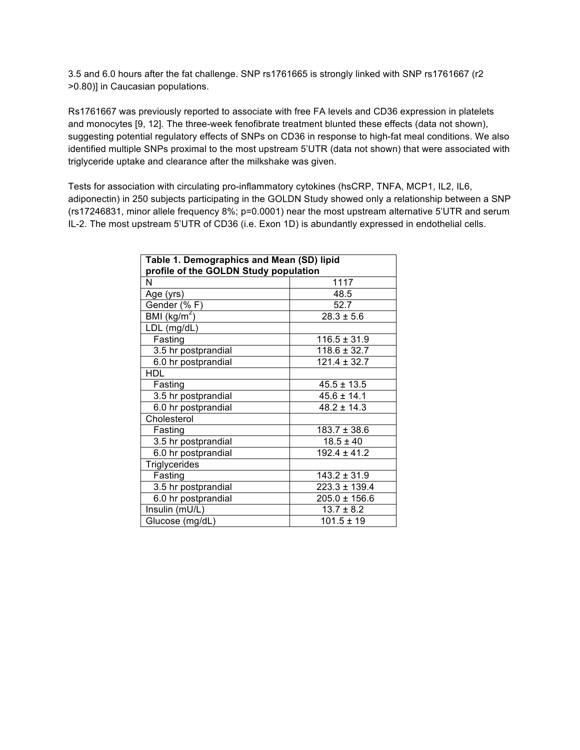3.5 and 6.0 hours after the fat challenge. SNP rs1761665 is strongly linked with SNP rs1761667 (r2 >0.80)] in Caucasian populations.

Rs1761667 was previously reported to associate with free FA levels and CD36 expression in platelets and monocytes [9, 12]. The three-week fenofibrate treatment blunted these effects (data not shown), suggesting potential regulatory effects of SNPs on CD36 in response to high-fat meal conditions. We also identified multiple SNPs proximal to the most upstream 5'UTR (data not shown) that were associated with triglyceride uptake and clearance after the milkshake was given.

Tests for association with circulating pro-inflammatory cytokines (hsCRP, TNFA, MCP1, IL2, IL6, adiponectin) in 250 subjects participating in the GOLDN Study showed only a relationship between a SNP (rs17246831, minor allele frequency 8%; p=0.0001) near the most upstream alternative 5'UTR and serum IL-2. The most upstream 5'UTR of CD36 (i.e. Exon 1D) is abundantly expressed in endothelial cells.

| Table 1. Demographics and Mean (SD) lipid<br>profile of the GOLDN Study population |                   |  |  |  |  |
|------------------------------------------------------------------------------------|-------------------|--|--|--|--|
| N                                                                                  | 1117              |  |  |  |  |
| Age (yrs)                                                                          | 48.5              |  |  |  |  |
| Gender (%F)                                                                        | 52.7              |  |  |  |  |
| BMI $(\overline{\text{kg/m}^2})$                                                   | $28.3 \pm 5.6$    |  |  |  |  |
| LDL (mg/dL)                                                                        |                   |  |  |  |  |
| Fasting                                                                            | $116.5 \pm 31.9$  |  |  |  |  |
| 3.5 hr postprandial                                                                | $118.6 \pm 32.7$  |  |  |  |  |
| 6.0 hr postprandial                                                                | $121.4 \pm 32.7$  |  |  |  |  |
| <b>HDL</b>                                                                         |                   |  |  |  |  |
| Fasting                                                                            | $45.5 \pm 13.5$   |  |  |  |  |
| 3.5 hr postprandial                                                                | $45.6 \pm 14.1$   |  |  |  |  |
| 6.0 hr postprandial                                                                | $48.2 \pm 14.3$   |  |  |  |  |
| Cholesterol                                                                        |                   |  |  |  |  |
| Fasting                                                                            | $183.7 \pm 38.6$  |  |  |  |  |
| 3.5 hr postprandial                                                                | $18.5 \pm 40$     |  |  |  |  |
| 6.0 hr postprandial                                                                | $192.4 \pm 41.2$  |  |  |  |  |
| Triglycerides                                                                      |                   |  |  |  |  |
| Fasting                                                                            | $143.2 \pm 31.9$  |  |  |  |  |
| 3.5 hr postprandial                                                                | $223.3 \pm 139.4$ |  |  |  |  |
| 6.0 hr postprandial                                                                | $205.0 \pm 156.6$ |  |  |  |  |
| Insulin (mU/L)                                                                     | $13.7 \pm 8.2$    |  |  |  |  |
| Glucose (mg/dL)                                                                    | $101.5 \pm 19$    |  |  |  |  |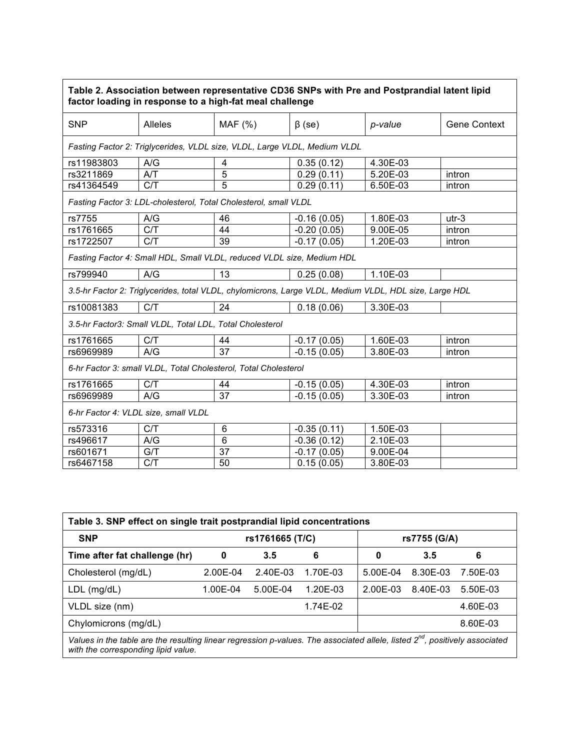| Table 2. Association between representative CD36 SNPs with Pre and Postprandial latent lipid<br>factor loading in response to a high-fat meal challenge |                  |                 |               |          |                     |  |  |  |  |
|---------------------------------------------------------------------------------------------------------------------------------------------------------|------------------|-----------------|---------------|----------|---------------------|--|--|--|--|
| <b>SNP</b>                                                                                                                                              | <b>Alleles</b>   | MAF(%)          | $\beta$ (se)  | p-value  | <b>Gene Context</b> |  |  |  |  |
| Fasting Factor 2: Triglycerides, VLDL size, VLDL, Large VLDL, Medium VLDL                                                                               |                  |                 |               |          |                     |  |  |  |  |
| rs11983803                                                                                                                                              | A/G              | 4               | 0.35(0.12)    | 4.30E-03 |                     |  |  |  |  |
| rs3211869                                                                                                                                               | A/T              | $\overline{5}$  | 0.29(0.11)    | 5.20E-03 | intron              |  |  |  |  |
| rs41364549                                                                                                                                              | C/T              | 5               | 0.29(0.11)    | 6.50E-03 | intron              |  |  |  |  |
| Fasting Factor 3: LDL-cholesterol, Total Cholesterol, small VLDL                                                                                        |                  |                 |               |          |                     |  |  |  |  |
| rs7755                                                                                                                                                  | A/G              | 46              | $-0.16(0.05)$ | 1.80E-03 | $utr-3$             |  |  |  |  |
| rs1761665                                                                                                                                               | C/T              | 44              | $-0.20(0.05)$ | 9.00E-05 | intron              |  |  |  |  |
| rs1722507                                                                                                                                               | C/T              | 39              | $-0.17(0.05)$ | 1.20E-03 | intron              |  |  |  |  |
| Fasting Factor 4: Small HDL, Small VLDL, reduced VLDL size, Medium HDL                                                                                  |                  |                 |               |          |                     |  |  |  |  |
| rs799940                                                                                                                                                | A/G              | 13              | 0.25(0.08)    | 1.10E-03 |                     |  |  |  |  |
| 3.5-hr Factor 2: Triglycerides, total VLDL, chylomicrons, Large VLDL, Medium VLDL, HDL size, Large HDL                                                  |                  |                 |               |          |                     |  |  |  |  |
| rs10081383                                                                                                                                              | C/T              | 24              | 0.18(0.06)    | 3.30E-03 |                     |  |  |  |  |
| 3.5-hr Factor3: Small VLDL, Total LDL, Total Cholesterol                                                                                                |                  |                 |               |          |                     |  |  |  |  |
| rs1761665                                                                                                                                               | C/T              | 44              | $-0.17(0.05)$ | 1.60E-03 | intron              |  |  |  |  |
| rs6969989                                                                                                                                               | A/G              | 37              | $-0.15(0.05)$ | 3.80E-03 | intron              |  |  |  |  |
| 6-hr Factor 3: small VLDL, Total Cholesterol, Total Cholesterol                                                                                         |                  |                 |               |          |                     |  |  |  |  |
| rs1761665                                                                                                                                               | C/T              | 44              | $-0.15(0.05)$ | 4.30E-03 | intron              |  |  |  |  |
| rs6969989                                                                                                                                               | $A/\overline{G}$ | $\overline{37}$ | $-0.15(0.05)$ | 3.30E-03 | intron              |  |  |  |  |
| 6-hr Factor 4: VLDL size, small VLDL                                                                                                                    |                  |                 |               |          |                     |  |  |  |  |
| rs573316                                                                                                                                                | C/T              | 6               | $-0.35(0.11)$ | 1.50E-03 |                     |  |  |  |  |
| rs496617                                                                                                                                                | A/G              | 6               | $-0.36(0.12)$ | 2.10E-03 |                     |  |  |  |  |
| rs601671                                                                                                                                                | G/T              | 37              | $-0.17(0.05)$ | 9.00E-04 |                     |  |  |  |  |
| rs6467158                                                                                                                                               | C/T              | 50              | 0.15(0.05)    | 3.80E-03 |                     |  |  |  |  |

| Table 3. SNP effect on single trait postprandial lipid concentrations                                                                                                          |                 |          |              |              |          |          |  |  |  |
|--------------------------------------------------------------------------------------------------------------------------------------------------------------------------------|-----------------|----------|--------------|--------------|----------|----------|--|--|--|
| <b>SNP</b>                                                                                                                                                                     | rs1761665 (T/C) |          | rs7755 (G/A) |              |          |          |  |  |  |
| Time after fat challenge (hr)                                                                                                                                                  | 0               | 3.5      | 6            | 0            | 3.5      | 6        |  |  |  |
| Cholesterol (mg/dL)                                                                                                                                                            | 2.00E-04        | 2.40E-03 | 1.70E-03     | $5.00F - 04$ | 8.30E-03 | 7.50E-03 |  |  |  |
| $LDL$ (mg/dL)                                                                                                                                                                  | 1.00E-04        | 5.00E-04 | $1.20E-03$   | 2.00E-03     | 8.40E-03 | 5.50E-03 |  |  |  |
| VLDL size (nm)                                                                                                                                                                 |                 |          | 1.74E-02     |              |          | 4.60E-03 |  |  |  |
| Chylomicrons (mg/dL)                                                                                                                                                           |                 |          |              |              |          | 8.60E-03 |  |  |  |
| Values in the table are the resulting linear regression p-values. The associated allele, listed 2 <sup>nd</sup> , positively associated<br>with the corresponding lipid value. |                 |          |              |              |          |          |  |  |  |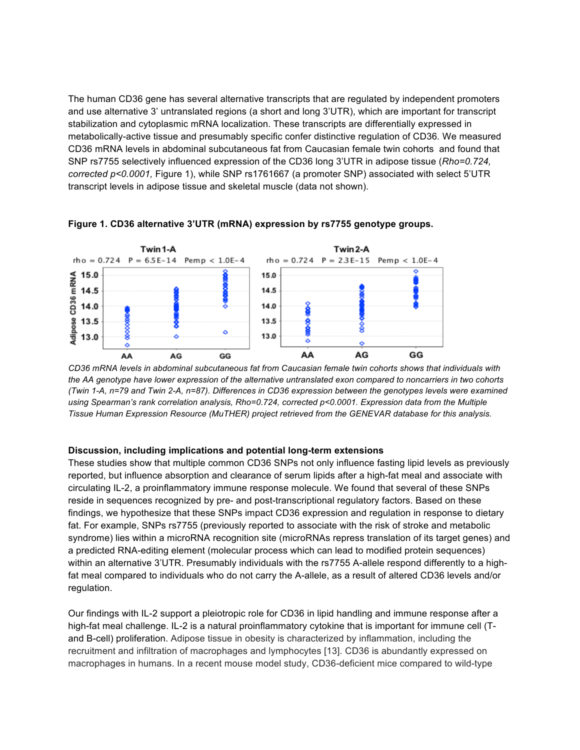The human CD36 gene has several alternative transcripts that are regulated by independent promoters and use alternative 3' untranslated regions (a short and long 3'UTR), which are important for transcript stabilization and cytoplasmic mRNA localization. These transcripts are differentially expressed in metabolically-active tissue and presumably specific confer distinctive regulation of CD36*.* We measured CD36 mRNA levels in abdominal subcutaneous fat from Caucasian female twin cohorts and found that SNP rs7755 selectively influenced expression of the CD36 long 3'UTR in adipose tissue (*Rho=0.724, corrected p<0.0001,* Figure 1), while SNP rs1761667 (a promoter SNP) associated with select 5'UTR transcript levels in adipose tissue and skeletal muscle (data not shown).



**Figure 1. CD36 alternative 3'UTR (mRNA) expression by rs7755 genotype groups.**

*CD36 mRNA levels in abdominal subcutaneous fat from Caucasian female twin cohorts shows that individuals with the AA genotype have lower expression of the alternative untranslated exon compared to noncarriers in two cohorts (Twin 1-A, n=79 and Twin 2-A, n=87). Differences in CD36 expression between the genotypes levels were examined using Spearman's rank correlation analysis, Rho=0.724, corrected p<0.0001. Expression data from the Multiple Tissue Human Expression Resource (MuTHER) project retrieved from the GENEVAR database for this analysis.*

### **Discussion, including implications and potential long-term extensions**

These studies show that multiple common CD36 SNPs not only influence fasting lipid levels as previously reported, but influence absorption and clearance of serum lipids after a high-fat meal and associate with circulating IL-2, a proinflammatory immune response molecule. We found that several of these SNPs reside in sequences recognized by pre- and post-transcriptional regulatory factors. Based on these findings, we hypothesize that these SNPs impact CD36 expression and regulation in response to dietary fat. For example, SNPs rs7755 (previously reported to associate with the risk of stroke and metabolic syndrome) lies within a microRNA recognition site (microRNAs repress translation of its target genes) and a predicted RNA-editing element (molecular process which can lead to modified protein sequences) within an alternative 3'UTR. Presumably individuals with the rs7755 A-allele respond differently to a highfat meal compared to individuals who do not carry the A-allele, as a result of altered CD36 levels and/or regulation.

Our findings with IL-2 support a pleiotropic role for CD36 in lipid handling and immune response after a high-fat meal challenge. IL-2 is a natural proinflammatory cytokine that is important for immune cell (Tand B-cell) proliferation. Adipose tissue in obesity is characterized by inflammation, including the recruitment and infiltration of macrophages and lymphocytes [13]. CD36 is abundantly expressed on macrophages in humans. In a recent mouse model study, CD36-deficient mice compared to wild-type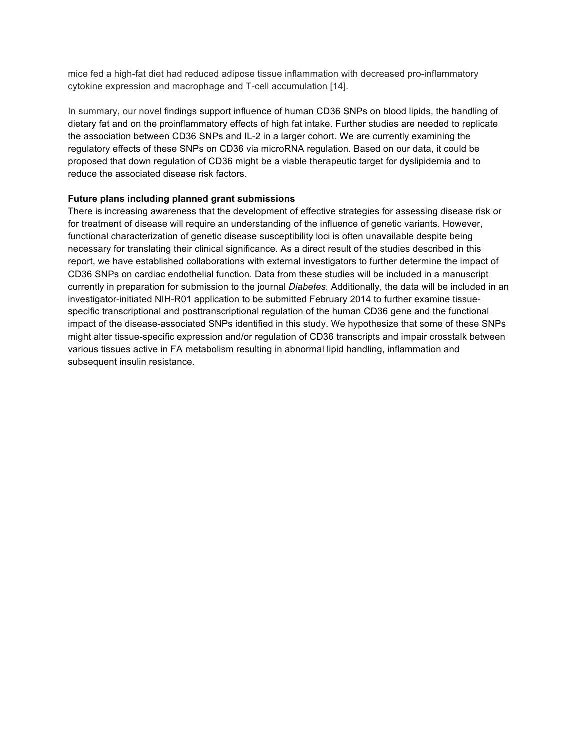mice fed a high-fat diet had reduced adipose tissue inflammation with decreased pro-inflammatory cytokine expression and macrophage and T-cell accumulation [14].

In summary, our novel findings support influence of human CD36 SNPs on blood lipids, the handling of dietary fat and on the proinflammatory effects of high fat intake. Further studies are needed to replicate the association between CD36 SNPs and IL-2 in a larger cohort. We are currently examining the regulatory effects of these SNPs on CD36 via microRNA regulation. Based on our data, it could be proposed that down regulation of CD36 might be a viable therapeutic target for dyslipidemia and to reduce the associated disease risk factors.

# **Future plans including planned grant submissions**

There is increasing awareness that the development of effective strategies for assessing disease risk or for treatment of disease will require an understanding of the influence of genetic variants. However, functional characterization of genetic disease susceptibility loci is often unavailable despite being necessary for translating their clinical significance. As a direct result of the studies described in this report, we have established collaborations with external investigators to further determine the impact of CD36 SNPs on cardiac endothelial function. Data from these studies will be included in a manuscript currently in preparation for submission to the journal *Diabetes.* Additionally, the data will be included in an investigator-initiated NIH-R01 application to be submitted February 2014 to further examine tissuespecific transcriptional and posttranscriptional regulation of the human CD36 gene and the functional impact of the disease-associated SNPs identified in this study. We hypothesize that some of these SNPs might alter tissue-specific expression and/or regulation of CD36 transcripts and impair crosstalk between various tissues active in FA metabolism resulting in abnormal lipid handling, inflammation and subsequent insulin resistance.